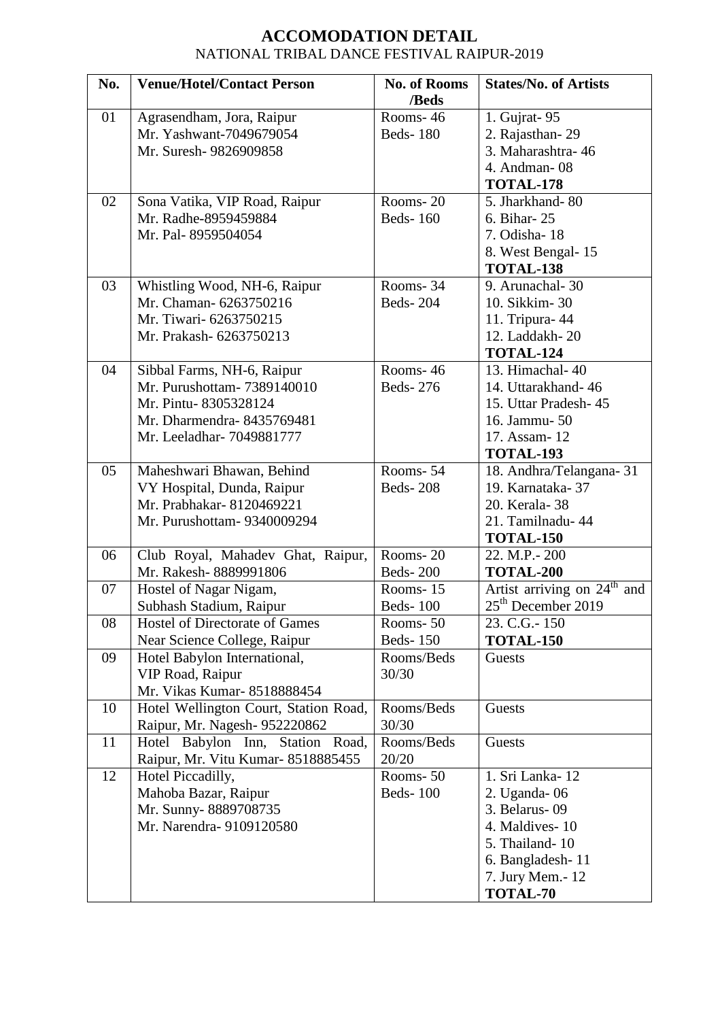## **ACCOMODATION DETAIL** NATIONAL TRIBAL DANCE FESTIVAL RAIPUR-2019

| No. | <b>Venue/Hotel/Contact Person</b>     | <b>No. of Rooms</b> | <b>States/No. of Artists</b>               |
|-----|---------------------------------------|---------------------|--------------------------------------------|
|     |                                       | /Beds               |                                            |
| 01  | Agrasendham, Jora, Raipur             | Rooms-46            | 1. Gujrat- 95                              |
|     | Mr. Yashwant-7049679054               | <b>Beds-180</b>     | 2. Rajasthan-29                            |
|     | Mr. Suresh- 9826909858                |                     | 3. Maharashtra-46                          |
|     |                                       |                     | 4. Andman-08                               |
|     |                                       |                     | <b>TOTAL-178</b>                           |
| 02  | Sona Vatika, VIP Road, Raipur         | Rooms-20            | 5. Jharkhand-80                            |
|     | Mr. Radhe-8959459884                  | <b>Beds-160</b>     | 6. Bihar-25                                |
|     | Mr. Pal-8959504054                    |                     | 7. Odisha-18                               |
|     |                                       |                     | 8. West Bengal-15                          |
|     |                                       |                     | TOTAL-138                                  |
| 03  | Whistling Wood, NH-6, Raipur          | Rooms-34            | 9. Arunachal-30                            |
|     | Mr. Chaman- 6263750216                | <b>Beds-204</b>     | 10. Sikkim-30                              |
|     | Mr. Tiwari- 6263750215                |                     | 11. Tripura- 44                            |
|     | Mr. Prakash- 6263750213               |                     | 12. Laddakh-20                             |
|     |                                       |                     | TOTAL-124                                  |
| 04  | Sibbal Farms, NH-6, Raipur            | Rooms-46            | 13. Himachal-40                            |
|     | Mr. Purushottam- 7389140010           | <b>Beds-276</b>     | 14. Uttarakhand-46                         |
|     | Mr. Pintu-8305328124                  |                     | 15. Uttar Pradesh-45                       |
|     | Mr. Dharmendra-8435769481             |                     | 16. Jammu- 50                              |
|     | Mr. Leeladhar- 7049881777             |                     | 17. Assam-12                               |
|     |                                       |                     | TOTAL-193                                  |
| 05  | Maheshwari Bhawan, Behind             | Rooms-54            | 18. Andhra/Telangana-31                    |
|     | VY Hospital, Dunda, Raipur            | <b>Beds-208</b>     | 19. Karnataka-37                           |
|     | Mr. Prabhakar- 8120469221             |                     | 20. Kerala-38                              |
|     | Mr. Purushottam- 9340009294           |                     | 21. Tamilnadu- 44                          |
|     |                                       |                     | <b>TOTAL-150</b>                           |
| 06  | Club Royal, Mahadev Ghat, Raipur,     | Rooms-20            | 22. M.P. - 200                             |
|     | Mr. Rakesh-8889991806                 | <b>Beds-200</b>     | TOTAL-200                                  |
| 07  | Hostel of Nagar Nigam,                | Rooms-15            | Artist arriving on $24^{\text{th}}$<br>and |
|     | Subhash Stadium, Raipur               | <b>Beds-100</b>     | 25 <sup>th</sup> December 2019             |
| 08  | Hostel of Directorate of Games        | Rooms-50            | 23. C.G. - 150                             |
|     | Near Science College, Raipur          | <b>Beds-150</b>     | <b>TOTAL-150</b>                           |
| 09  | Hotel Babylon International,          | Rooms/Beds          | Guests                                     |
|     | VIP Road, Raipur                      | 30/30               |                                            |
|     | Mr. Vikas Kumar-8518888454            |                     |                                            |
| 10  | Hotel Wellington Court, Station Road, | Rooms/Beds          | Guests                                     |
|     | Raipur, Mr. Nagesh- 952220862         | 30/30               |                                            |
| 11  | Hotel Babylon Inn, Station Road,      | Rooms/Beds          | Guests                                     |
|     | Raipur, Mr. Vitu Kumar-8518885455     | 20/20               |                                            |
| 12  | Hotel Piccadilly,                     | Rooms-50            | 1. Sri Lanka-12                            |
|     | Mahoba Bazar, Raipur                  | <b>Beds-100</b>     | 2. Uganda-06                               |
|     | Mr. Sunny-8889708735                  |                     | 3. Belarus-09                              |
|     | Mr. Narendra- 9109120580              |                     | 4. Maldives-10                             |
|     |                                       |                     | 5. Thailand-10                             |
|     |                                       |                     | 6. Bangladesh-11                           |
|     |                                       |                     | 7. Jury Mem. - 12                          |
|     |                                       |                     | <b>TOTAL-70</b>                            |